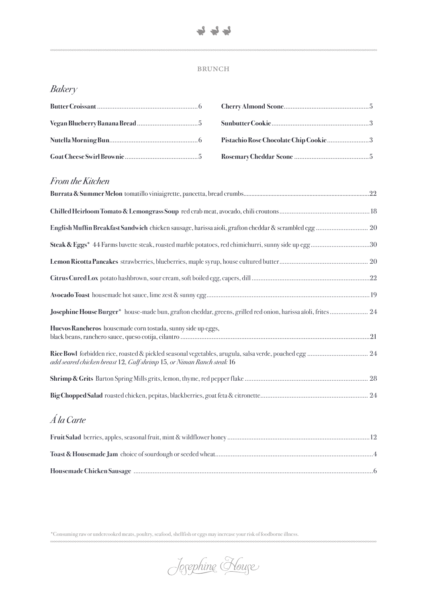

# **BRUNCH**

# *Bakery*

# *From the Kitchen*

| Steak & Eggs* 44 Farms bavette steak, roasted marble potatoes, red chimichurri, sunny side up egg 30          |  |
|---------------------------------------------------------------------------------------------------------------|--|
|                                                                                                               |  |
|                                                                                                               |  |
|                                                                                                               |  |
| Josephine House Burger* house-made bun, grafton cheddar, greens, grilled red onion, harissa aïoli, frites  24 |  |
| Huevos Rancheros housemade corn tostada, sunny side up eggs,                                                  |  |
| add seared chicken breast 12, Gulf shrimp 15, or Niman Ranch steak 16                                         |  |
|                                                                                                               |  |
|                                                                                                               |  |
| Á la Carte                                                                                                    |  |

\*Consuming raw or undercooked meats, poultry, seafood, shellfish or eggs may increase your risk of foodborne illness.

Josephine Kouse